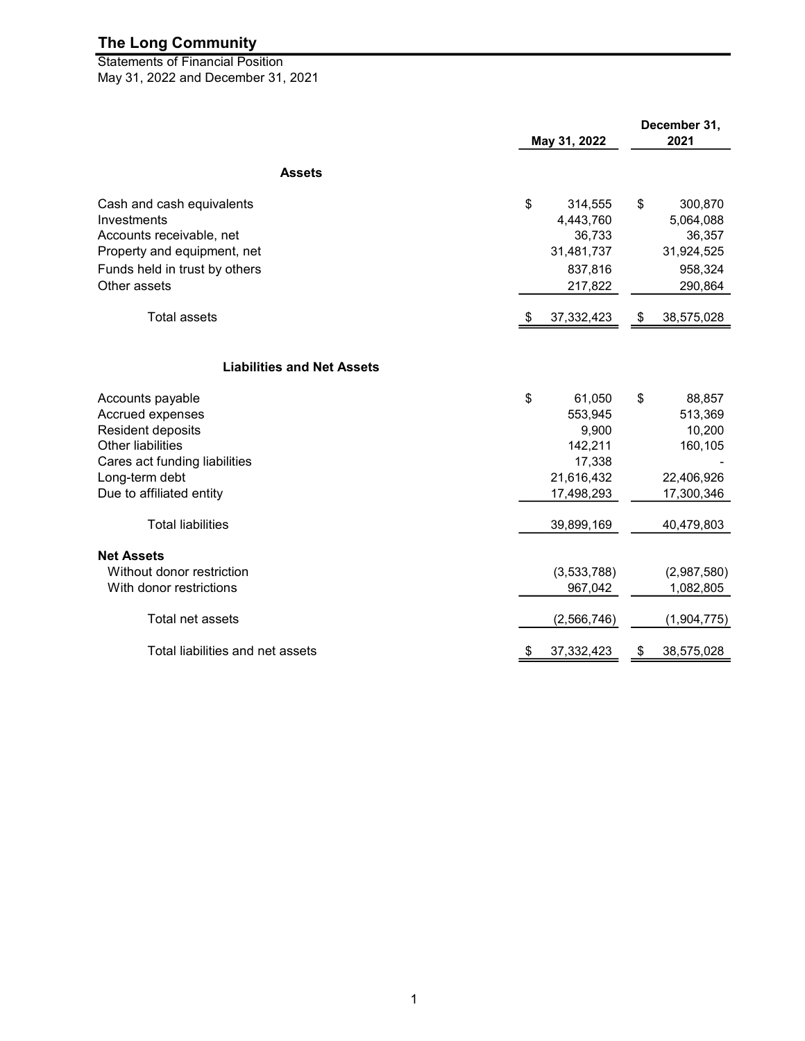May 31, 2022 and December 31, 2021 Statements of Financial Position

|                                   | May 31, 2022 |              | December 31,<br>2021 |             |
|-----------------------------------|--------------|--------------|----------------------|-------------|
| <b>Assets</b>                     |              |              |                      |             |
|                                   |              |              |                      |             |
| Cash and cash equivalents         | \$           | 314,555      | \$                   | 300,870     |
| Investments                       |              | 4,443,760    |                      | 5,064,088   |
| Accounts receivable, net          |              | 36,733       |                      | 36,357      |
| Property and equipment, net       |              | 31,481,737   |                      | 31,924,525  |
| Funds held in trust by others     |              | 837,816      |                      | 958,324     |
| Other assets                      |              | 217,822      |                      | 290,864     |
| <b>Total assets</b>               |              | 37, 332, 423 | \$                   | 38,575,028  |
|                                   |              |              |                      |             |
| <b>Liabilities and Net Assets</b> |              |              |                      |             |
| Accounts payable                  | \$           | 61,050       | \$                   | 88,857      |
| Accrued expenses                  |              | 553,945      |                      | 513,369     |
| Resident deposits                 |              | 9,900        |                      | 10,200      |
| <b>Other liabilities</b>          |              | 142,211      |                      | 160,105     |
| Cares act funding liabilities     |              | 17,338       |                      |             |
| Long-term debt                    |              | 21,616,432   |                      | 22,406,926  |
| Due to affiliated entity          |              | 17,498,293   |                      | 17,300,346  |
| <b>Total liabilities</b>          |              | 39,899,169   |                      | 40,479,803  |
| <b>Net Assets</b>                 |              |              |                      |             |
| Without donor restriction         |              | (3,533,788)  |                      | (2,987,580) |
| With donor restrictions           |              | 967,042      |                      | 1,082,805   |
| Total net assets                  |              | (2,566,746)  |                      | (1,904,775) |
| Total liabilities and net assets  | \$           | 37, 332, 423 | \$                   | 38,575,028  |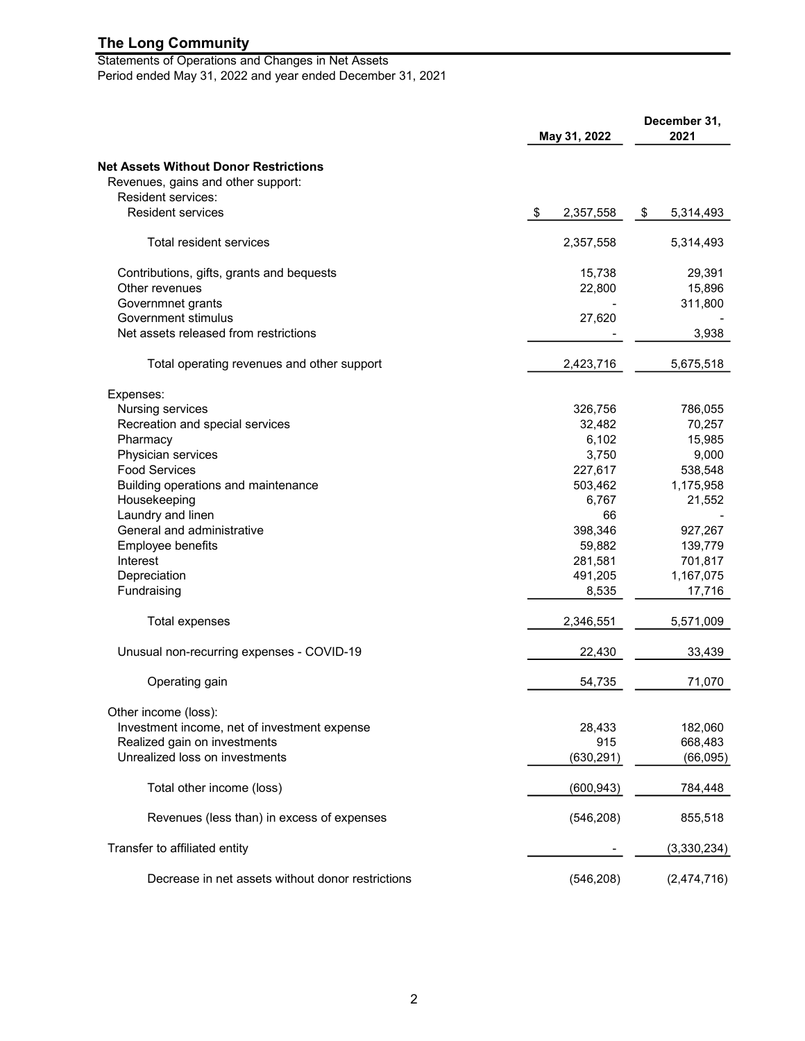Statements of Operations and Changes in Net Assets Period ended May 31, 2022 and year ended December 31, 2021

| May 31, 2022                                      |                 | December 31,<br>2021 |  |
|---------------------------------------------------|-----------------|----------------------|--|
| <b>Net Assets Without Donor Restrictions</b>      |                 |                      |  |
| Revenues, gains and other support:                |                 |                      |  |
| Resident services:                                |                 |                      |  |
| <b>Resident services</b>                          | \$<br>2,357,558 | 5,314,493<br>\$      |  |
| Total resident services                           | 2,357,558       | 5,314,493            |  |
| Contributions, gifts, grants and bequests         | 15,738          | 29,391               |  |
| Other revenues                                    | 22,800          | 15,896               |  |
| Governmnet grants                                 |                 | 311,800              |  |
| Government stimulus                               | 27,620          |                      |  |
| Net assets released from restrictions             |                 | 3,938                |  |
| Total operating revenues and other support        | 2,423,716       | 5,675,518            |  |
| Expenses:                                         |                 |                      |  |
| Nursing services                                  | 326,756         | 786,055              |  |
| Recreation and special services                   | 32,482          | 70,257               |  |
| Pharmacy                                          | 6,102           | 15,985               |  |
| Physician services                                | 3,750           | 9,000                |  |
| <b>Food Services</b>                              | 227,617         | 538,548              |  |
| Building operations and maintenance               | 503,462         | 1,175,958            |  |
| Housekeeping                                      | 6,767           | 21,552               |  |
| Laundry and linen                                 | 66              |                      |  |
| General and administrative                        | 398,346         | 927,267              |  |
| Employee benefits                                 | 59,882          | 139,779              |  |
| Interest                                          | 281,581         | 701,817              |  |
| Depreciation                                      | 491,205         | 1,167,075            |  |
| Fundraising                                       | 8,535           | 17,716               |  |
| Total expenses                                    | 2,346,551       | 5,571,009            |  |
| Unusual non-recurring expenses - COVID-19         | 22,430          | 33,439               |  |
| Operating gain                                    | 54,735          | 71,070               |  |
| Other income (loss):                              |                 |                      |  |
| Investment income, net of investment expense      | 28,433          | 182,060              |  |
| Realized gain on investments                      | 915             | 668,483              |  |
| Unrealized loss on investments                    | (630, 291)      | (66, 095)            |  |
| Total other income (loss)                         | (600, 943)      | 784,448              |  |
| Revenues (less than) in excess of expenses        | (546, 208)      | 855,518              |  |
| Transfer to affiliated entity                     |                 | (3,330,234)          |  |
| Decrease in net assets without donor restrictions | (546, 208)      | (2,474,716)          |  |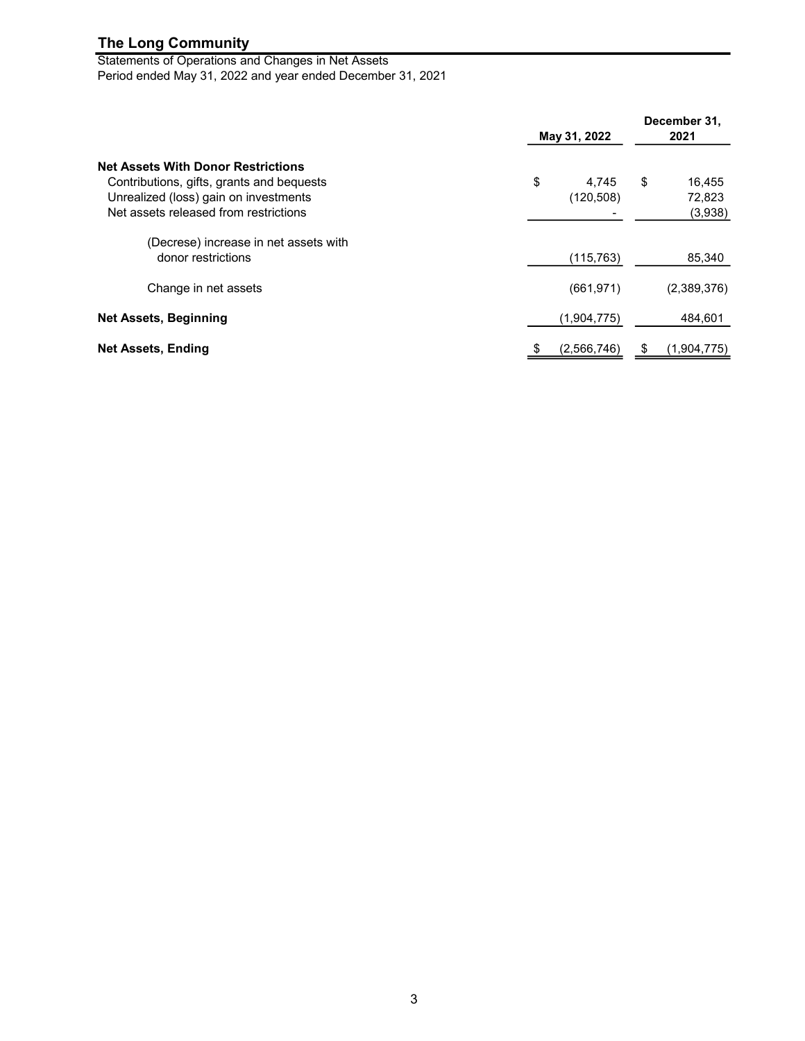Statements of Operations and Changes in Net Assets Period ended May 31, 2022 and year ended December 31, 2021

|                                                                                                                                                                          | May 31, 2022              | December 31,<br>2021              |
|--------------------------------------------------------------------------------------------------------------------------------------------------------------------------|---------------------------|-----------------------------------|
| <b>Net Assets With Donor Restrictions</b><br>Contributions, gifts, grants and bequests<br>Unrealized (loss) gain on investments<br>Net assets released from restrictions | \$<br>4.745<br>(120, 508) | \$<br>16,455<br>72,823<br>(3,938) |
| (Decrese) increase in net assets with<br>donor restrictions                                                                                                              | (115, 763)                | 85,340                            |
| Change in net assets                                                                                                                                                     | (661, 971)                | (2,389,376)                       |
| <b>Net Assets, Beginning</b>                                                                                                                                             | (1,904,775)               | 484,601                           |
| <b>Net Assets, Ending</b>                                                                                                                                                | (2,566,746)<br>\$         | (1,904,775)                       |